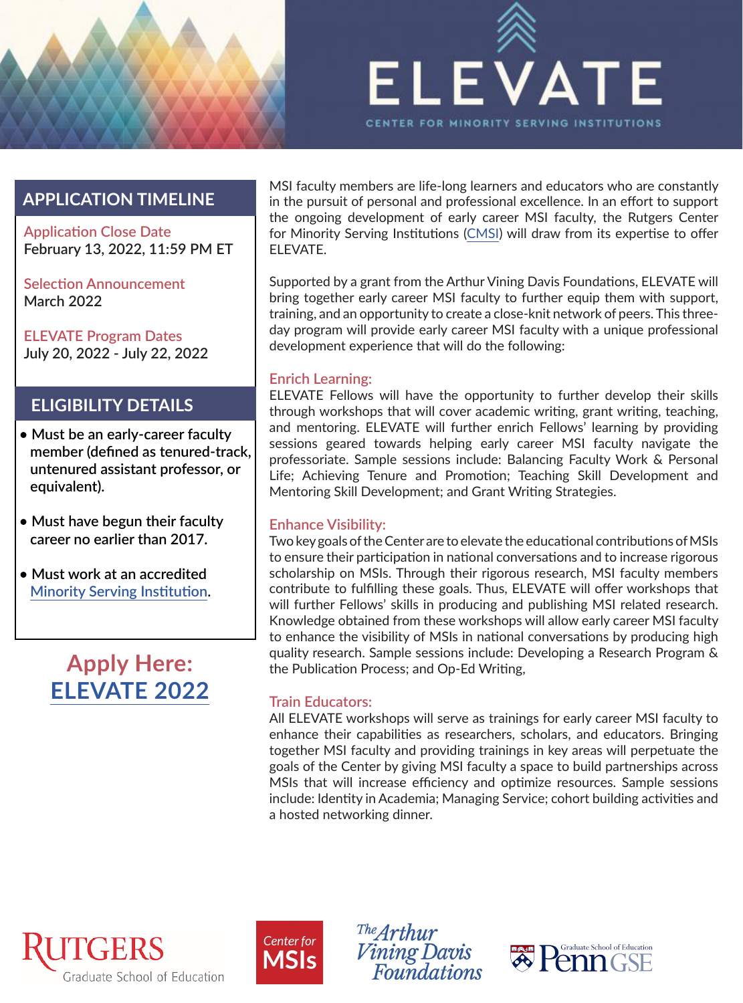



### **APPLICATION TIMELINE**

**Application Close Date February 13, 2022, 11:59 PM ET**

**Selection Announcement March 2022**

**ELEVATE Program Dates July 20, 2022 - July 22, 2022**

### **ELIGIBILITY DETAILS**

- **Must be an early-career faculty member (defined as tenured-track, untenured assistant professor, or equivalent).**
- **Must have begun their faculty career no earlier than 2017.**
- **Must work at an accredited [Minority Serving Institution](https://cmsi.gse.rutgers.edu/sites/default/files/2020%20CMSI%20Eligibility%20Matrix.pdf).**

### **Apply Here: [ELEVATE 2022](https://rutgers.ca1.qualtrics.com/jfe/form/SV_2a6ycSupkjX2oku)**

MSI faculty members are life-long learners and educators who are constantly in the pursuit of personal and professional excellence. In an effort to support the ongoing development of early career MSI faculty, the Rutgers Center for Minority Serving Institutions ([CMSI](https://cmsi.gse.rutgers.edu/)) will draw from its expertise to offer ELEVATE.

Supported by a grant from the Arthur Vining Davis Foundations, ELEVATE will bring together early career MSI faculty to further equip them with support, training, and an opportunity to create a close-knit network of peers. This threeday program will provide early career MSI faculty with a unique professional development experience that will do the following:

#### **Enrich Learning:**

ELEVATE Fellows will have the opportunity to further develop their skills through workshops that will cover academic writing, grant writing, teaching, and mentoring. ELEVATE will further enrich Fellows' learning by providing sessions geared towards helping early career MSI faculty navigate the professoriate. Sample sessions include: Balancing Faculty Work & Personal Life; Achieving Tenure and Promotion; Teaching Skill Development and Mentoring Skill Development; and Grant Writing Strategies.

#### **Enhance Visibility:**

Two key goals of the Center are to elevate the educational contributions of MSIs to ensure their participation in national conversations and to increase rigorous scholarship on MSIs. Through their rigorous research, MSI faculty members contribute to fulfilling these goals. Thus, ELEVATE will offer workshops that will further Fellows' skills in producing and publishing MSI related research. Knowledge obtained from these workshops will allow early career MSI faculty to enhance the visibility of MSIs in national conversations by producing high quality research. Sample sessions include: Developing a Research Program & the Publication Process; and Op-Ed Writing,

#### **Train Educators:**

All ELEVATE workshops will serve as trainings for early career MSI faculty to enhance their capabilities as researchers, scholars, and educators. Bringing together MSI faculty and providing trainings in key areas will perpetuate the goals of the Center by giving MSI faculty a space to build partnerships across MSIs that will increase efficiency and optimize resources. Sample sessions include: Identity in Academia; Managing Service; cohort building activities and a hosted networking dinner.





The  $Arthur$ *Vining Davis*<br>Foundations